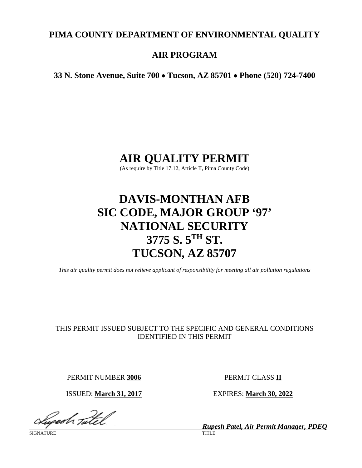# **PIMA COUNTY DEPARTMENT OF ENVIRONMENTAL QUALITY**

# **AIR PROGRAM**

**33 N. Stone Avenue, Suite 700** • **Tucson, AZ 85701** • **Phone (520) 724-7400**

# **AIR QUALITY PERMIT**

(As require by Title 17.12, Article II, Pima County Code)

# **DAVIS-MONTHAN AFB SIC CODE, MAJOR GROUP '97' NATIONAL SECURITY 3775 S. 5TH ST. TUCSON, AZ 85707**

*This air quality permit does not relieve applicant of responsibility for meeting all air pollution regulations*

# THIS PERMIT ISSUED SUBJECT TO THE SPECIFIC AND GENERAL CONDITIONS IDENTIFIED IN THIS PERMIT

PERMIT NUMBER **3006** PERMIT CLASS **II**

ISSUED: **March 31, 2017** EXPIRES: **March 30, 2022**

lyedh tatel

SIGNATURE TITLE THE SERVICE OF THE SERVICE OF THE SERVICE OF THE SERVICE OF THE SERVICE OF THE SERVICE OF THE S

*Rupesh Patel, Air Permit Manager, PDEQ*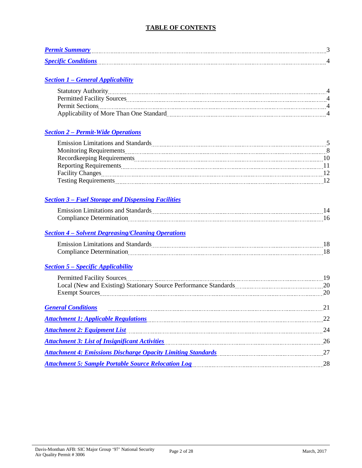# **TABLE OF CONTENTS**

| <b>Permit S</b>            |  |
|----------------------------|--|
| <b>Specific Conditions</b> |  |

# *Section 1 – [General Applicability](#page-3-0)*

| <b>Statutory Authority</b>              |  |
|-----------------------------------------|--|
| <b>Permitted Facility Sources</b>       |  |
| <b>Permit Sections</b>                  |  |
| Applicability of More Than One Standard |  |

# *Section 2 – [Permit-Wide Operations](#page-4-0)*

| <b>Emission Limitations and Standards</b> |  |
|-------------------------------------------|--|
| Monitoring Requirements                   |  |
|                                           |  |
| <b>Reporting Requirements</b>             |  |
| <b>Facility Changes</b>                   |  |
| <b>Testing Requirements</b>               |  |

# *Section 3 – [Fuel Storage and Dispensing Facilities](#page-13-0)*

| $\sim$ $\sim$ $\sim$ $\sim$<br>------ | ---------    |
|---------------------------------------|--------------|
| $\overline{\phantom{a}}$<br>          | ------------ |

# *Section 4 – [Solvent Degreasing/Cleaning Operations](#page-17-0)*

| .           | --- |
|-------------|-----|
| .<br>------ |     |

# *Section 5 – [Specific Applicability](#page-18-0)*

| <u><b>General Conditions</b></u> 21                                                                                |  |
|--------------------------------------------------------------------------------------------------------------------|--|
| Attachment 1: Applicable Regulations (2008) 22 Attachment 1: Applicable Regulations (2008) 32                      |  |
| Attachment 2: Equipment List 1994 (1994) 1994 (1994) 1994 (1994) 1994 (1995) 1994 (1994) 1994 (1995) 1994 (199     |  |
| Attachment 3: List of Insignificant Activities <b>Example 20</b> 26 Attachment 3: List of Insignificant Activities |  |
| Attachment 4: Emissions Discharge Opacity Limiting Standards [ <i>[[[[[[[[[[[[[[[[[[[[[[]]]]]</i> ]                |  |
| <b>Attachment 5: Sample Portable Source Relocation Log</b>                                                         |  |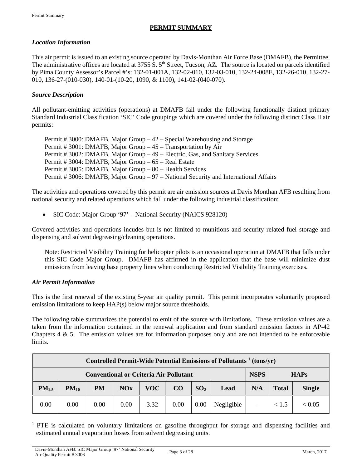# **PERMIT SUMMARY**

#### <span id="page-2-0"></span>*Location Information*

This air permit is issued to an existing source operated by Davis-Monthan Air Force Base (DMAFB), the Permittee. The administrative offices are located at 3755 S. 5<sup>th</sup> Street, Tucson, AZ. The source is located on parcels identified by Pima County Assessor's Parcel #'s: 132-01-001A, 132-02-010, 132-03-010, 132-24-008E, 132-26-010, 132-27- 010, 136-27-(010-030), 140-01-(10-20, 1090, & 1100), 141-02-(040-070).

#### *Source Description*

All pollutant-emitting activities (operations) at DMAFB fall under the following functionally distinct primary Standard Industrial Classification 'SIC' Code groupings which are covered under the following distinct Class II air permits:

| Permit # 3000: DMAFB, Major Group – 42 – Special Warehousing and Storage             |
|--------------------------------------------------------------------------------------|
| Permit # 3001: DMAFB, Major Group – 45 – Transportation by Air                       |
| Permit # 3002: DMAFB, Major Group – 49 – Electric, Gas, and Sanitary Services        |
| Permit # 3004: DMAFB, Major Group – 65 – Real Estate                                 |
| Permit # 3005: DMAFB, Major Group – 80 – Health Services                             |
| Permit # 3006: DMAFB, Major Group – 97 – National Security and International Affairs |

The activities and operations covered by this permit are air emission sources at Davis Monthan AFB resulting from national security and related operations which fall under the following industrial classification:

• SIC Code: Major Group '97' – National Security (NAICS 928120)

Covered activities and operations incudes but is not limited to munitions and security related fuel storage and dispensing and solvent degreasing/cleaning operations.

Note: Restricted Visibility Training for helicopter pilots is an occasional operation at DMAFB that falls under this SIC Code Major Group. DMAFB has affirmed in the application that the base will minimize dust emissions from leaving base property lines when conducting Restricted Visibility Training exercises.

### *Air Permit Information*

This is the first renewal of the existing 5-year air quality permit. This permit incorporates voluntarily proposed emission limitations to keep HAP(s) below major source thresholds.

The following table summarizes the potential to emit of the source with limitations. These emission values are a taken from the information contained in the renewal application and from standard emission factors in AP-42 Chapters  $4 \& 5$ . The emission values are for information purposes only and are not intended to be enforceable limits.

| Controlled Permit-Wide Potential Emissions of Pollutants <sup>1</sup> (tons/yr) |           |      |            |      |      |                 |            |                          |              |               |
|---------------------------------------------------------------------------------|-----------|------|------------|------|------|-----------------|------------|--------------------------|--------------|---------------|
| <b>NSPS</b><br><b>Conventional or Criteria Air Pollutant</b><br><b>HAPs</b>     |           |      |            |      |      |                 |            |                          |              |               |
| $PM_{2.5}$                                                                      | $PM_{10}$ | PM   | <b>NOx</b> | VOC  | CO   | SO <sub>2</sub> | Lead       | N/A                      | <b>Total</b> | <b>Single</b> |
| 0.00                                                                            | 0.00      | 0.00 | 0.00       | 3.32 | 0.00 | 0.00            | Negligible | $\overline{\phantom{a}}$ | < 1.5        | < 0.05        |

<sup>1</sup> PTE is calculated on voluntary limitations on gasoline throughput for storage and dispensing facilities and estimated annual evaporation losses from solvent degreasing units.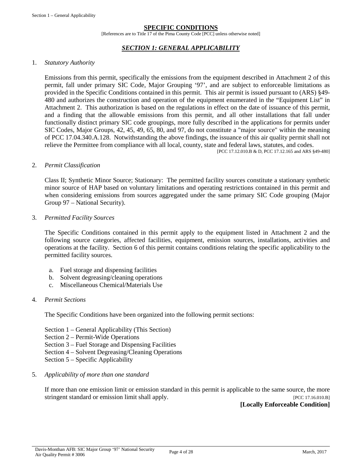#### **SPECIFIC CONDITIONS**

[References are to Title 17 of the Pima County Code [PCC] unless otherwise noted]

#### *SECTION 1: GENERAL APPLICABILITY*

#### <span id="page-3-0"></span>1. *Statutory Authority*

Emissions from this permit, specifically the emissions from the equipment described in Attachment 2 of this permit, fall under primary SIC Code, Major Grouping '97', and are subject to enforceable limitations as provided in the Specific Conditions contained in this permit. This air permit is issued pursuant to (ARS) §49- 480 and authorizes the construction and operation of the equipment enumerated in the "Equipment List" in Attachment 2. This authorization is based on the regulations in effect on the date of issuance of this permit, and a finding that the allowable emissions from this permit, and all other installations that fall under functionally distinct primary SIC code groupings, more fully described in the applications for permits under SIC Codes, Major Groups, 42, 45, 49, 65, 80, and 97, do not constitute a "major source" within the meaning of PCC 17.04.340.A.128. Notwithstanding the above findings, the issuance of this air quality permit shall not relieve the Permittee from compliance with all local, county, state and federal laws, statutes, and codes. [PCC 17.12.010.B & D, PCC 17.12.165 and ARS §49-480]

#### 2. *Permit Classification*

Class II; Synthetic Minor Source; Stationary: The permitted facility sources constitute a stationary synthetic minor source of HAP based on voluntary limitations and operating restrictions contained in this permit and when considering emissions from sources aggregated under the same primary SIC Code grouping (Major Group 97 – National Security).

3. *Permitted Facility Sources*

The Specific Conditions contained in this permit apply to the equipment listed in Attachment 2 and the following source categories, affected facilities, equipment, emission sources, installations, activities and operations at the facility. Section 6 of this permit contains conditions relating the specific applicability to the permitted facility sources.

- a. Fuel storage and dispensing facilities
- b. Solvent degreasing/cleaning operations
- c. Miscellaneous Chemical/Materials Use

#### 4. *Permit Sections*

The Specific Conditions have been organized into the following permit sections:

- Section 1 General Applicability (This Section)
- Section 2 Permit-Wide Operations
- Section 3 Fuel Storage and Dispensing Facilities
- Section 4 Solvent Degreasing/Cleaning Operations
- Section 5 Specific Applicability
- 5. *Applicability of more than one standard*

If more than one emission limit or emission standard in this permit is applicable to the same source, the more stringent standard or emission limit shall apply. [PCC 17.16.010.B]

#### **[Locally Enforceable Condition]**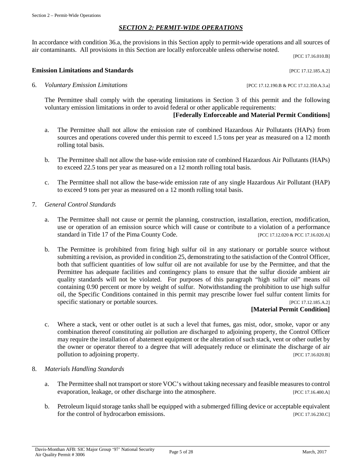#### *SECTION 2: PERMIT-WIDE OPERATIONS*

<span id="page-4-0"></span>In accordance with condition 36.a, the provisions in this Section apply to permit-wide operations and all sources of air contaminants. All provisions in this Section are locally enforceable unless otherwise noted.

[PCC 17.16.010.B]

#### **Emission Limitations and Standards** [PCC 17.12.185.A.2]

6. *Voluntary Emission Limitations* [PCC 17.12.190.B & PCC 17.12.350.A.3.a]

The Permittee shall comply with the operating limitations in Section 3 of this permit and the following voluntary emission limitations in order to avoid federal or other applicable requirements:

#### **[Federally Enforceable and Material Permit Conditions]**

- a. The Permittee shall not allow the emission rate of combined Hazardous Air Pollutants (HAPs) from sources and operations covered under this permit to exceed 1.5 tons per year as measured on a 12 month rolling total basis.
- b. The Permittee shall not allow the base-wide emission rate of combined Hazardous Air Pollutants (HAPs) to exceed 22.5 tons per year as measured on a 12 month rolling total basis.
- c. The Permittee shall not allow the base-wide emission rate of any single Hazardous Air Pollutant (HAP) to exceed 9 tons per year as measured on a 12 month rolling total basis.
- 7. *General Control Standards*
	- a. The Permittee shall not cause or permit the planning, construction, installation, erection, modification, use or operation of an emission source which will cause or contribute to a violation of a performance standard in Title 17 of the Pima County Code. [PCC 17.12.020 & PCC 17.16.020.A]
	- b. The Permittee is prohibited from firing high sulfur oil in any stationary or portable source without submitting a revision, as provided in condition 25, demonstrating to the satisfaction of the Control Officer, both that sufficient quantities of low sulfur oil are not available for use by the Permittee, and that the Permittee has adequate facilities and contingency plans to ensure that the sulfur dioxide ambient air quality standards will not be violated. For purposes of this paragraph "high sulfur oil" means oil containing 0.90 percent or more by weight of sulfur. Notwithstanding the prohibition to use high sulfur oil, the Specific Conditions contained in this permit may prescribe lower fuel sulfur content limits for specific stationary or portable sources. [PCC 17.12.185.A.2]

#### **[Material Permit Condition]**

- c. Where a stack, vent or other outlet is at such a level that fumes, gas mist, odor, smoke, vapor or any combination thereof constituting air pollution are discharged to adjoining property, the Control Officer may require the installation of abatement equipment or the alteration of such stack, vent or other outlet by the owner or operator thereof to a degree that will adequately reduce or eliminate the discharge of air pollution to adjoining property. [PCC 17.16.020.B]
- 8. *Materials Handling Standards*
	- a. The Permittee shall not transport or store VOC's without taking necessary and feasible measures to control evaporation, leakage, or other discharge into the atmosphere. [PCC 17.16.400.A]
	- b. Petroleum liquid storage tanks shall be equipped with a submerged filling device or acceptable equivalent for the control of hydrocarbon emissions. [PCC 17.16.230.C]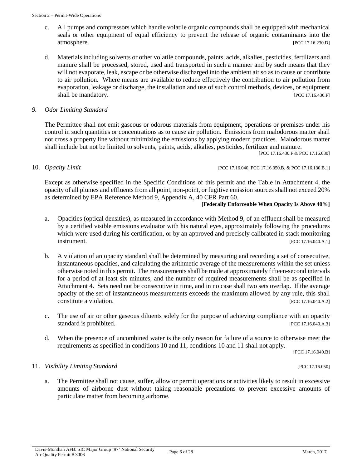- c. All pumps and compressors which handle volatile organic compounds shall be equipped with mechanical seals or other equipment of equal efficiency to prevent the release of organic contaminants into the atmosphere. [PCC 17.16.230.D]
- d. Materials including solvents or other volatile compounds, paints, acids, alkalies, pesticides, fertilizers and manure shall be processed, stored, used and transported in such a manner and by such means that they will not evaporate, leak, escape or be otherwise discharged into the ambient air so as to cause or contribute to air pollution. Where means are available to reduce effectively the contribution to air pollution from evaporation, leakage or discharge, the installation and use of such control methods, devices, or equipment shall be mandatory. [PCC 17.16.430.F]

#### *9. Odor Limiting Standard*

The Permittee shall not emit gaseous or odorous materials from equipment, operations or premises under his control in such quantities or concentrations as to cause air pollution. Emissions from malodorous matter shall not cross a property line without minimizing the emissions by applying modern practices. Malodorous matter shall include but not be limited to solvents, paints, acids, alkalies, pesticides, fertilizer and manure.

[PCC 17.16.430.F & PCC 17.16.030]

10. *Opacity Limit Departive Limit PCC 17.16.040, PCC 17.16.050.B, & PCC 17.16.130.B.1]* 

Except as otherwise specified in the Specific Conditions of this permit and the Table in Attachment 4, the opacity of all plumes and effluents from all point, non-point, or fugitive emission sources shall not exceed 20% as determined by EPA Reference Method 9, Appendix A, 40 CFR Part 60.

#### **[Federally Enforceable When Opacity Is Above 40%]**

- a. Opacities (optical densities), as measured in accordance with Method 9, of an effluent shall be measured by a certified visible emissions evaluator with his natural eyes, approximately following the procedures which were used during his certification, or by an approved and precisely calibrated in-stack monitoring **instrument.** [PCC 17.16.040.A.1]
- b. A violation of an opacity standard shall be determined by measuring and recording a set of consecutive, instantaneous opacities, and calculating the arithmetic average of the measurements within the set unless otherwise noted in this permit. The measurements shall be made at approximately fifteen-second intervals for a period of at least six minutes, and the number of required measurements shall be as specified in Attachment 4. Sets need not be consecutive in time, and in no case shall two sets overlap. If the average opacity of the set of instantaneous measurements exceeds the maximum allowed by any rule, this shall constitute a violation. [PCC 17.16.040.A.2]
- c. The use of air or other gaseous diluents solely for the purpose of achieving compliance with an opacity standard is prohibited. [PCC 17.16.040.A.3]
- d. When the presence of uncombined water is the only reason for failure of a source to otherwise meet the requirements as specified in conditions 10 and 11, conditions 10 and 11 shall not apply.

[PCC 17.16.040.B]

#### 11. *Visibility Limiting Standard* [PCC 17.16.050]

a. The Permittee shall not cause, suffer, allow or permit operations or activities likely to result in excessive amounts of airborne dust without taking reasonable precautions to prevent excessive amounts of particulate matter from becoming airborne.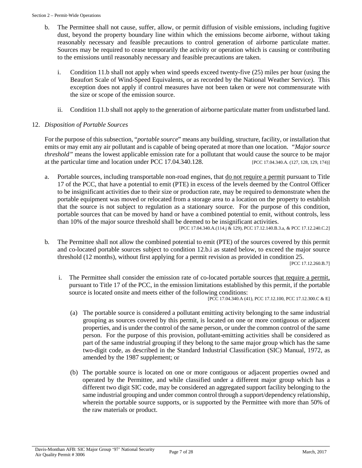- b. The Permittee shall not cause, suffer, allow, or permit diffusion of visible emissions, including fugitive dust, beyond the property boundary line within which the emissions become airborne, without taking reasonably necessary and feasible precautions to control generation of airborne particulate matter. Sources may be required to cease temporarily the activity or operation which is causing or contributing to the emissions until reasonably necessary and feasible precautions are taken.
	- i. Condition 11.b shall not apply when wind speeds exceed twenty-five (25) miles per hour (using the Beaufort Scale of Wind-Speed Equivalents, or as recorded by the National Weather Service). This exception does not apply if control measures have not been taken or were not commensurate with the size or scope of the emission source.
	- ii. Condition 11.b shall not apply to the generation of airborne particulate matter from undisturbed land.

### 12. *Disposition of Portable Sources*

For the purpose of this subsection, "*portable source*" means any building, structure, facility, or installation that emits or may emit any air pollutant and is capable of being operated at more than one location. *"Major source threshold"* means the lowest applicable emission rate for a pollutant that would cause the source to be major at the particular time and location under PCC 17.04.340.128. [PCC 17.04.340.A. (127, 128, 129, 174)]

a. Portable sources, including transportable non-road engines, that <u>do not require a permit</u> pursuant to Title 17 of the PCC, that have a potential to emit (PTE) in excess of the levels deemed by the Control Officer to be insignificant activities due to their size or production rate, may be required to demonstrate when the portable equipment was moved or relocated from a storage area to a location on the property to establish that the source is not subject to regulation as a stationary source. For the purpose of this condition, portable sources that can be moved by hand or have a combined potential to emit, without controls, less than 10% of the major source threshold shall be deemed to be insignificant activities.

[PCC 17.04.340.A.(114.j & 129), PCC 17.12.140.B.3.a, & PCC 17.12.240.C.2]

b*.* The Permittee shall not allow the combined potential to emit (PTE) of the sources covered by this permit and co-located portable sources subject to condition 12.b.i as stated below, to exceed the major source threshold (12 months), without first applying for a permit revision as provided in condition 25.

[PCC 17.12.260.B.7]

i. The Permittee shall consider the emission rate of co-located portable sources that require a permit, pursuant to Title 17 of the PCC, in the emission limitations established by this permit, if the portable source is located onsite and meets either of the following conditions:

[PCC 17.04.340.A (41), PCC 17.12.100, PCC 17.12.300.C & E]

- (a) The portable source is considered a pollutant emitting activity belonging to the same industrial grouping as sources covered by this permit, is located on one or more contiguous or adjacent properties, and is under the control of the same person, or under the common control of the same person. For the purpose of this provision, pollutant-emitting activities shall be considered as part of the same industrial grouping if they belong to the same major group which has the same two-digit code, as described in the Standard Industrial Classification (SIC) Manual, 1972, as amended by the 1987 supplement; or
- (b) The portable source is located on one or more contiguous or adjacent properties owned and operated by the Permittee, and while classified under a different major group which has a different two digit SIC code, may be considered an aggregated support facility belonging to the same industrial grouping and under common control through a support/dependency relationship, wherein the portable source supports, or is supported by the Permittee with more than 50% of the raw materials or product.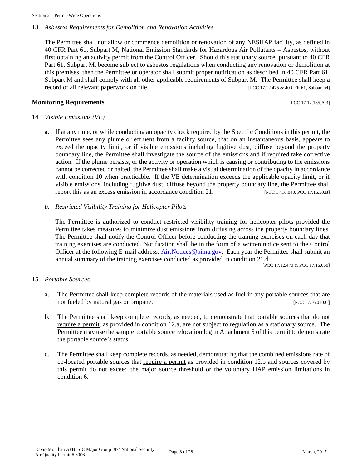#### 13. *Asbestos Requirements for Demolition and Renovation Activities*

The Permittee shall not allow or commence demolition or renovation of any NESHAP facility, as defined in 40 CFR Part 61, Subpart M, National Emission Standards for Hazardous Air Pollutants – Asbestos, without first obtaining an activity permit from the Control Officer. Should this stationary source, pursuant to 40 CFR Part 61, Subpart M, become subject to asbestos regulations when conducting any renovation or demolition at this premises, then the Permittee or operator shall submit proper notification as described in 40 CFR Part 61, Subpart M and shall comply with all other applicable requirements of Subpart M. The Permittee shall keep a record of all relevant paperwork on file. [PCC 17.12.475 & 40 CFR 61, Subpart M]

#### **Monitoring Requirements Exercíal Exercíal Exercíal Exercíal Exercíal Exercíal Exercíal Exercíal Exercíal Exercíal Exercíal Exercíal Exercíal Exercíal Exercíal Exercíal Exercíal Exercíal Exercíal Exercíal Exercíal Exercí**

#### 14. *Visible Emissions (VE)*

a. If at any time, or while conducting an opacity check required by the Specific Conditions in this permit, the Permittee sees any plume or effluent from a facility source, that on an instantaneous basis, appears to exceed the opacity limit, or if visible emissions including fugitive dust, diffuse beyond the property boundary line, the Permittee shall investigate the source of the emissions and if required take corrective action. If the plume persists, or the activity or operation which is causing or contributing to the emissions cannot be corrected or halted, the Permittee shall make a visual determination of the opacity in accordance with condition 10 when practicable. If the VE determination exceeds the applicable opacity limit, or if visible emissions, including fugitive dust, diffuse beyond the property boundary line, the Permittee shall report this as an excess emission in accordance condition 21. [PCC 17.16.040, PCC 17.16.50.B]

#### *b. Restricted Visibility Training for Helicopter Pilots*

The Permittee is authorized to conduct restricted visibility training for helicopter pilots provided the Permittee takes measures to minimize dust emissions from diffusing across the property boundary lines. The Permittee shall notify the Control Officer before conducting the training exercises on each day that training exercises are conducted. Notification shall be in the form of a written notice sent to the Control Officer at the following E-mail address: [Air.Notices@pima.gov.](mailto:Air.Notices@pima.gov) Each year the Permittee shall submit an annual summary of the training exercises conducted as provided in condition 21.d.

[PCC 17.12.470 & PCC 17.16.060]

#### 15. *Portable Sources*

- a. The Permittee shall keep complete records of the materials used as fuel in any portable sources that are not fueled by natural gas or propane. [PCC 17.16.010.C]
- b. The Permittee shall keep complete records, as needed, to demonstrate that portable sources that do not require a permit, as provided in condition 12.a, are not subject to regulation as a stationary source. The Permittee may use the sample portable source relocation log in Attachment 5 of this permit to demonstrate the portable source's status.
- c. The Permittee shall keep complete records, as needed, demonstrating that the combined emissions rate of co-located portable sources that require a permit as provided in condition 12.b and sources covered by this permit do not exceed the major source threshold or the voluntary HAP emission limitations in condition 6.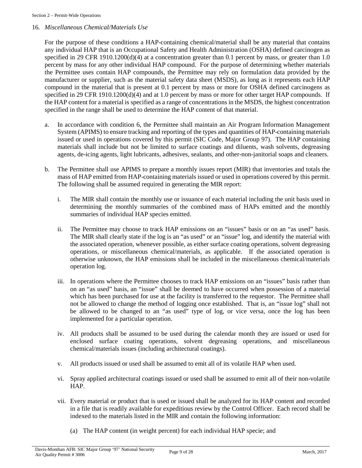#### 16. *Miscellaneous Chemical/Materials Use*

For the purpose of these conditions a HAP-containing chemical/material shall be any material that contains any individual HAP that is an Occupational Safety and Health Administration (OSHA) defined carcinogen as specified in 29 CFR 1910.1200(d)(4) at a concentration greater than 0.1 percent by mass, or greater than 1.0 percent by mass for any other individual HAP compound. For the purpose of determining whether materials the Permittee uses contain HAP compounds, the Permittee may rely on formulation data provided by the manufacturer or supplier, such as the material safety data sheet (MSDS), as long as it represents each HAP compound in the material that is present at 0.1 percent by mass or more for OSHA defined carcinogens as specified in 29 CFR 1910.1200(d) $\vec{q}$ ) and at 1.0 percent by mass or more for other target HAP compounds. If the HAP content for a material is specified as a range of concentrations in the MSDS, the highest concentration specified in the range shall be used to determine the HAP content of that material.

- a. In accordance with condition 6, the Permittee shall maintain an Air Program Information Management System (APIMS) to ensure tracking and reporting of the types and quantities of HAP-containing materials issued or used in operations covered by this permit (SIC Code, Major Group 97). The HAP containing materials shall include but not be limited to surface coatings and diluents, wash solvents, degreasing agents, de-icing agents, light lubricants, adhesives, sealants, and other-non-janitorial soaps and cleaners.
- b. The Permittee shall use APIMS to prepare a monthly issues report (MIR) that inventories and totals the mass of HAP emitted from HAP-containing materials issued or used in operations covered by this permit. The following shall be assumed required in generating the MIR report:
	- i. The MIR shall contain the monthly use or issuance of each material including the unit basis used in determining the monthly summaries of the combined mass of HAPs emitted and the monthly summaries of individual HAP species emitted.
	- ii. The Permittee may choose to track HAP emissions on an "issues" basis or on an "as used" basis. The MIR shall clearly state if the log is an "as used" or an "issue" log, and identify the material with the associated operation, whenever possible, as either surface coating operations, solvent degreasing operations, or miscellaneous chemical/materials, as applicable. If the associated operation is otherwise unknown, the HAP emissions shall be included in the miscellaneous chemical/materials operation log.
	- iii. In operations where the Permittee chooses to track HAP emissions on an "issues" basis rather than on an "as used" basis, an "issue" shall be deemed to have occurred when possession of a material which has been purchased for use at the facility is transferred to the requestor. The Permittee shall not be allowed to change the method of logging once established. That is, an "issue log" shall not be allowed to be changed to an "as used" type of log, or vice versa, once the log has been implemented for a particular operation.
	- iv. All products shall be assumed to be used during the calendar month they are issued or used for enclosed surface coating operations, solvent degreasing operations, and miscellaneous chemical/materials issues (including architectural coatings).
	- v. All products issued or used shall be assumed to emit all of its volatile HAP when used.
	- vi. Spray applied architectural coatings issued or used shall be assumed to emit all of their non-volatile HAP.
	- vii. Every material or product that is used or issued shall be analyzed for its HAP content and recorded in a file that is readily available for expeditious review by the Control Officer. Each record shall be indexed to the materials listed in the MIR and contain the following information:
		- (a) The HAP content (in weight percent) for each individual HAP specie; and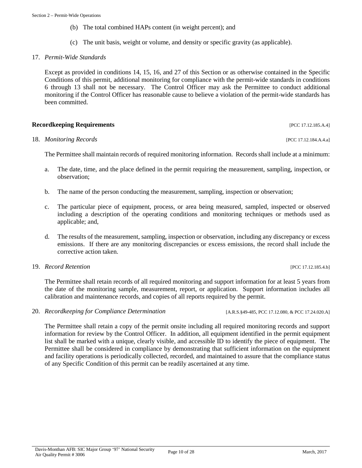- (b) The total combined HAPs content (in weight percent); and
- (c) The unit basis, weight or volume, and density or specific gravity (as applicable).

#### 17. *Permit-Wide Standards*

Except as provided in conditions 14, 15, 16, and 27 of this Section or as otherwise contained in the Specific Conditions of this permit, additional monitoring for compliance with the permit-wide standards in conditions 6 through 13 shall not be necessary. The Control Officer may ask the Permittee to conduct additional monitoring if the Control Officer has reasonable cause to believe a violation of the permit-wide standards has been committed.

#### **Recordkeeping Requirements** [PCC 17.12.185.A.4]

#### 18. *Monitoring Records* [PCC 17.12.184.A.4.a]

The Permittee shall maintain records of required monitoring information. Records shall include at a minimum:

- a. The date, time, and the place defined in the permit requiring the measurement, sampling, inspection, or observation;
- b. The name of the person conducting the measurement, sampling, inspection or observation;
- c. The particular piece of equipment, process, or area being measured, sampled, inspected or observed including a description of the operating conditions and monitoring techniques or methods used as applicable; and,
- d. The results of the measurement, sampling, inspection or observation, including any discrepancy or excess emissions. If there are any monitoring discrepancies or excess emissions, the record shall include the corrective action taken.

#### 19. *Record Retention* [PCC 17.12.185.4.b]

The Permittee shall retain records of all required monitoring and support information for at least 5 years from the date of the monitoring sample, measurement, report, or application. Support information includes all calibration and maintenance records, and copies of all reports required by the permit.

20. *Recordkeeping for Compliance Determination* [A.R.S.§49-485, PCC 17.12.080, & PCC 17.24.020.A]

The Permittee shall retain a copy of the permit onsite including all required monitoring records and support information for review by the Control Officer. In addition, all equipment identified in the permit equipment list shall be marked with a unique, clearly visible, and accessible ID to identify the piece of equipment. The Permittee shall be considered in compliance by demonstrating that sufficient information on the equipment and facility operations is periodically collected, recorded, and maintained to assure that the compliance status of any Specific Condition of this permit can be readily ascertained at any time.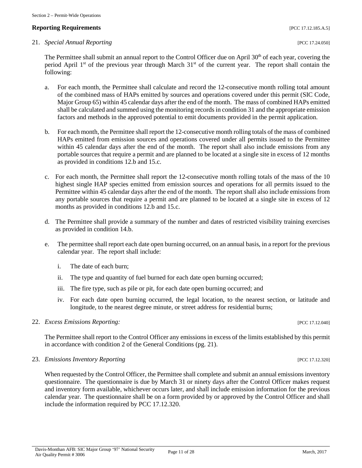## **Reporting Requirements** *PCC 17.12.185.A.5***]**

#### 21. *Special Annual Reporting* [PCC 17.24.050]

The Permittee shall submit an annual report to the Control Officer due on April 30<sup>th</sup> of each year, covering the period April 1<sup>st</sup> of the previous year through March 31<sup>st</sup> of the current year. The report shall contain the following:

- a. For each month, the Permittee shall calculate and record the 12-consecutive month rolling total amount of the combined mass of HAPs emitted by sources and operations covered under this permit (SIC Code, Major Group 65) within 45 calendar days after the end of the month. The mass of combined HAPs emitted shall be calculated and summed using the monitoring records in condition 31 and the appropriate emission factors and methods in the approved potential to emit documents provided in the permit application.
- b. For each month, the Permittee shall report the 12-consecutive month rolling totals of the mass of combined HAPs emitted from emission sources and operations covered under all permits issued to the Permittee within 45 calendar days after the end of the month. The report shall also include emissions from any portable sources that require a permit and are planned to be located at a single site in excess of 12 months as provided in conditions 12.b and 15.c.
- c. For each month, the Permittee shall report the 12-consecutive month rolling totals of the mass of the 10 highest single HAP species emitted from emission sources and operations for all permits issued to the Permittee within 45 calendar days after the end of the month. The report shall also include emissions from any portable sources that require a permit and are planned to be located at a single site in excess of 12 months as provided in conditions 12.b and 15.c.
- d. The Permittee shall provide a summary of the number and dates of restricted visibility training exercises as provided in condition 14.b.
- e. The permittee shall report each date open burning occurred, on an annual basis, in a report for the previous calendar year. The report shall include:
	- i. The date of each burn;
	- ii. The type and quantity of fuel burned for each date open burning occurred;
	- iii. The fire type, such as pile or pit, for each date open burning occurred; and
	- iv. For each date open burning occurred, the legal location, to the nearest section, or latitude and longitude, to the nearest degree minute, or street address for residential burns;

#### 22. *Excess Emissions Reporting:* [PCC 17.12.040]

The Permittee shall report to the Control Officer any emissions in excess of the limits established by this permit in accordance with condition 2 of the General Conditions (pg. 21).

#### 23. *Emissions Inventory Reporting* [PCC 17.12.320]

When requested by the Control Officer, the Permittee shall complete and submit an annual emissions inventory questionnaire. The questionnaire is due by March 31 or ninety days after the Control Officer makes request and inventory form available, whichever occurs later, and shall include emission information for the previous calendar year. The questionnaire shall be on a form provided by or approved by the Control Officer and shall include the information required by PCC 17.12.320.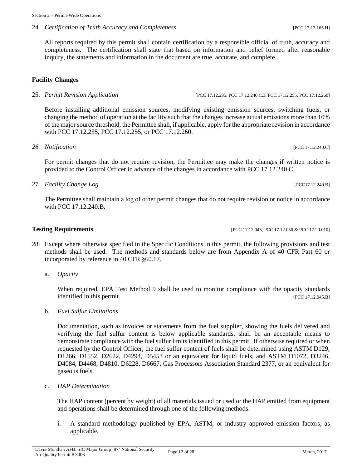24. *Certification of Truth Accuracy and Completeness* [PCC 17.12.165.H]

All reports required by this permit shall contain certification by a responsible official of truth, accuracy and completeness. The certification shall state that based on information and belief formed after reasonable inquiry, the statements and information in the document are true, accurate, and complete.

### **Facility Changes**

Before installing additional emission sources, modifying existing emission sources, switching fuels, or changing the method of operation at the facility such that the changes increase actual emissions more than 10% of the major source threshold, the Permittee shall, if applicable, apply for the appropriate revision in accordance with PCC 17.12.235, PCC 17.12.255, or PCC 17.12.260.

#### *26. Notification* [PCC 17.12.240.C]

For permit changes that do not require revision, the Permittee may make the changes if written notice is provided to the Control Officer in advance of the changes in accordance with PCC 17.12.240.C

27. *Facility Change Log* [PCC17.12.240.B]

The Permittee shall maintain a log of other permit changes that do not require revision or notice in accordance with PCC 17.12.240.B.

#### **Testing Requirements [PCC 17.12.045, PCC 17.12.046, PCC 17.20.010]**

- 28. Except where otherwise specified in the Specific Conditions in this permit, the following provisions and test methods shall be used. The methods and standards below are from Appendix A of 40 CFR Part 60 or incorporated by reference in 40 CFR §60.17.
	- a. *Opacity*

When required, EPA Test Method 9 shall be used to monitor compliance with the opacity standards identified in this permit. [PCC 17.12.045.B]

b. *Fuel Sulfur Limitations*

Documentation, such as invoices or statements from the fuel supplier, showing the fuels delivered and verifying the fuel sulfur content is below applicable standards, shall be an acceptable means to demonstrate compliance with the fuel sulfur limits identified in this permit. If otherwise required or when requested by the Control Officer, the fuel sulfur content of fuels shall be determined using ASTM D129, D1266, D1552, D2622, D4294, D5453 or an equivalent for liquid fuels, and ASTM D1072, D3246, D4084, D4468, D4810, D6228, D6667, Gas Processors Association Standard 2377, or an equivalent for gaseous fuels.

c. *HAP Determination*

The HAP content (percent by weight) of all materials issued or used or the HAP emitted from equipment and operations shall be determined through one of the following methods:

i. A standard methodology published by EPA, ASTM, or industry approved emission factors, as applicable.

#### 25. *Permit Revision Application* [PCC 17.12.235, PCC 17.12.240.C.3, PCC 17.12.255, PCC 17.12.260]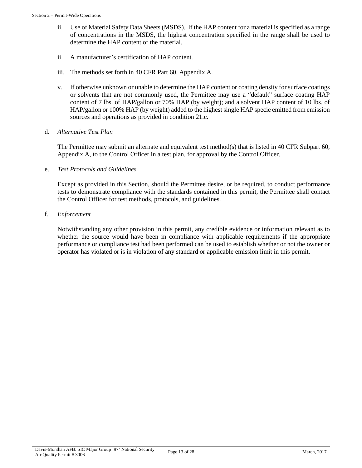- ii. Use of Material Safety Data Sheets (MSDS). If the HAP content for a material is specified as a range of concentrations in the MSDS, the highest concentration specified in the range shall be used to determine the HAP content of the material.
- ii. A manufacturer's certification of HAP content.
- iii. The methods set forth in 40 CFR Part 60, Appendix A.
- v. If otherwise unknown or unable to determine the HAP content or coating density for surface coatings or solvents that are not commonly used, the Permittee may use a "default" surface coating HAP content of 7 lbs. of HAP/gallon or 70% HAP (by weight); and a solvent HAP content of 10 lbs. of HAP/gallon or 100% HAP (by weight) added to the highest single HAP specie emitted from emission sources and operations as provided in condition 21.c.
- d. *Alternative Test Plan*

The Permittee may submit an alternate and equivalent test method(s) that is listed in 40 CFR Subpart 60, Appendix A, to the Control Officer in a test plan, for approval by the Control Officer.

e. *Test Protocols and Guidelines*

Except as provided in this Section, should the Permittee desire, or be required, to conduct performance tests to demonstrate compliance with the standards contained in this permit, the Permittee shall contact the Control Officer for test methods, protocols, and guidelines.

f. *Enforcement*

Notwithstanding any other provision in this permit, any credible evidence or information relevant as to whether the source would have been in compliance with applicable requirements if the appropriate performance or compliance test had been performed can be used to establish whether or not the owner or operator has violated or is in violation of any standard or applicable emission limit in this permit.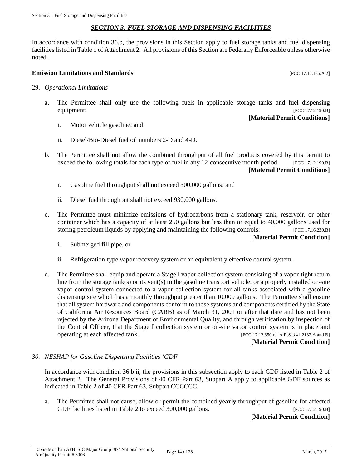#### *SECTION 3: FUEL STORAGE AND DISPENSING FACILITIES*

<span id="page-13-0"></span>In accordance with condition 36.b, the provisions in this Section apply to fuel storage tanks and fuel dispensing facilities listed in Table 1 of Attachment 2. All provisions of this Section are Federally Enforceable unless otherwise noted.

#### **Emission Limitations and Standards Emission Limitations and Standards Exercísion Exercísion Exercísion Exercísion**

- 29. *Operational Limitations*
	- a. The Permittee shall only use the following fuels in applicable storage tanks and fuel dispensing equipment: [PCC 17.12.190.B]

#### **[Material Permit Conditions]**

- i. Motor vehicle gasoline; and
- ii. Diesel/Bio-Diesel fuel oil numbers 2-D and 4-D.
- b. The Permittee shall not allow the combined throughput of all fuel products covered by this permit to exceed the following totals for each type of fuel in any 12-consecutive month period. [PCC 17.12.190.B] **[Material Permit Conditions]**
	- i. Gasoline fuel throughput shall not exceed 300,000 gallons; and
	- ii. Diesel fuel throughput shall not exceed 930,000 gallons.
- c. The Permittee must minimize emissions of hydrocarbons from a stationary tank, reservoir, or other container which has a capacity of at least 250 gallons but less than or equal to 40,000 gallons used for storing petroleum liquids by applying and maintaining the following controls: [PCC 17.16.230.B]

#### **[Material Permit Condition]**

- i. Submerged fill pipe, or
- ii. Refrigeration-type vapor recovery system or an equivalently effective control system.
- d. The Permittee shall equip and operate a Stage I vapor collection system consisting of a vapor-tight return line from the storage tank(s) or its vent(s) to the gasoline transport vehicle, or a properly installed on-site vapor control system connected to a vapor collection system for all tanks associated with a gasoline dispensing site which has a monthly throughput greater than 10,000 gallons. The Permittee shall ensure that all system hardware and components conform to those systems and components certified by the State of California Air Resources Board (CARB) as of March 31, 2001 or after that date and has not been rejected by the Arizona Department of Environmental Quality, and through verification by inspection of the Control Officer, that the Stage I collection system or on-site vapor control system is in place and operating at each affected tank. [PCC 17.12.350 ref A.R.S. §41-2132.A and B]

#### **[Material Permit Condition]**

#### *30. NESHAP for Gasoline Dispensing Facilities 'GDF'*

In accordance with condition 36.b.ii, the provisions in this subsection apply to each GDF listed in Table 2 of Attachment 2. The General Provisions of 40 CFR Part 63, Subpart A apply to applicable GDF sources as indicated in Table 2 of 40 CFR Part 63, Subpart CCCCCC.

a. The Permittee shall not cause, allow or permit the combined **yearly** throughput of gasoline for affected GDF facilities listed in Table 2 to exceed 300,000 gallons. [PCC 17.12.190.B]

#### **[Material Permit Condition]**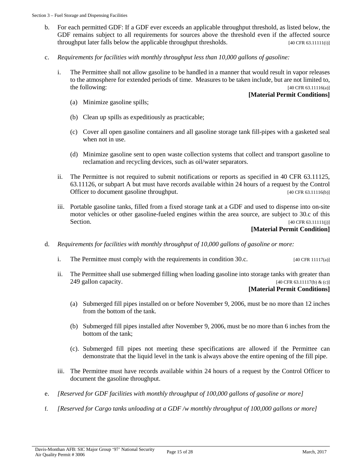- b. For each permitted GDF: If a GDF ever exceeds an applicable throughput threshold, as listed below, the GDF remains subject to all requirements for sources above the threshold even if the affected source throughput later falls below the applicable throughput thresholds. [40 CFR 63.11111(i)]
- c. *Requirements for facilities with monthly throughput less than 10,000 gallons of gasoline:*
	- i. The Permittee shall not allow gasoline to be handled in a manner that would result in vapor releases to the atmosphere for extended periods of time. Measures to be taken include, but are not limited to, the following: [40 CFR 63.11116(a)]

#### **[Material Permit Conditions]**

- (a) Minimize gasoline spills;
- (b) Clean up spills as expeditiously as practicable;
- (c) Cover all open gasoline containers and all gasoline storage tank fill-pipes with a gasketed seal when not in use.
- (d) Minimize gasoline sent to open waste collection systems that collect and transport gasoline to reclamation and recycling devices, such as oil/water separators.
- ii. The Permittee is not required to submit notifications or reports as specified in 40 CFR 63.11125, 63.11126, or subpart A but must have records available within 24 hours of a request by the Control Officer to document gasoline throughput. [40 CFR 63.11116(b)]
- iii. Portable gasoline tanks, filled from a fixed storage tank at a GDF and used to dispense into on-site motor vehicles or other gasoline-fueled engines within the area source, are subject to 30.c of this Section. [40 CFR 63.11111(j)]

#### **[Material Permit Condition]**

- d. *Requirements for facilities with monthly throughput of 10,000 gallons of gasoline or more:*
	- i. The Permittee must comply with the requirements in condition 30.c. [40 CFR 11117(a)]
	- ii. The Permittee shall use submerged filling when loading gasoline into storage tanks with greater than 249 gallon capacity.  $[40 \text{ CFR } 63.11117(b) \& (c)]$

#### **[Material Permit Conditions]**

- (a) Submerged fill pipes installed on or before November 9, 2006, must be no more than 12 inches from the bottom of the tank.
- (b) Submerged fill pipes installed after November 9, 2006, must be no more than 6 inches from the bottom of the tank;
- (c). Submerged fill pipes not meeting these specifications are allowed if the Permittee can demonstrate that the liquid level in the tank is always above the entire opening of the fill pipe.
- iii. The Permittee must have records available within 24 hours of a request by the Control Officer to document the gasoline throughput.
- e. *[Reserved for GDF facilities with monthly throughput of 100,000 gallons of gasoline or more]*
- f. *[Reserved for Cargo tanks unloading at a GDF /w monthly throughput of 100,000 gallons or more]*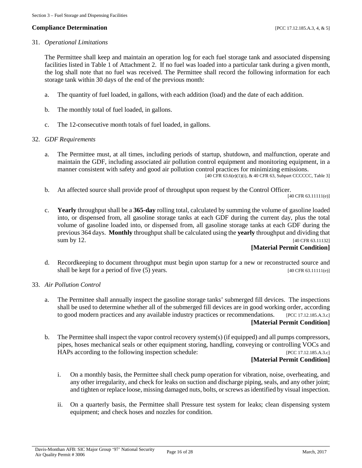#### **Compliance Determination** [PCC 17.12.185.A.3, 4, & 5]

#### 31. *Operational Limitations*

The Permittee shall keep and maintain an operation log for each fuel storage tank and associated dispensing facilities listed in Table 1 of Attachment 2. If no fuel was loaded into a particular tank during a given month, the log shall note that no fuel was received. The Permittee shall record the following information for each storage tank within 30 days of the end of the previous month:

- a. The quantity of fuel loaded, in gallons, with each addition (load) and the date of each addition.
- b. The monthly total of fuel loaded, in gallons.
- c. The 12-consecutive month totals of fuel loaded, in gallons.

#### 32. *GDF Requirements*

a. The Permittee must, at all times, including periods of startup, shutdown, and malfunction, operate and maintain the GDF, including associated air pollution control equipment and monitoring equipment, in a manner consistent with safety and good air pollution control practices for minimizing emissions.

[40 CFR 63.6(e)(1)(i), & 40 CFR 63, Subpart CCCCCC, Table 3]

b. An affected source shall provide proof of throughput upon request by the Control Officer.

[40 CFR 63.11111(e)]

c. **Yearly** throughput shall be a **365-day** rolling total, calculated by summing the volume of gasoline loaded into, or dispensed from, all gasoline storage tanks at each GDF during the current day, plus the total volume of gasoline loaded into, or dispensed from, all gasoline storage tanks at each GDF during the previous 364 days. **Monthly** throughput shall be calculated using the **yearly** throughput and dividing that sum by 12. [40 CFR 63.11132]

#### **[Material Permit Condition]**

- d. Recordkeeping to document throughput must begin upon startup for a new or reconstructed source and shall be kept for a period of five (5) years. [40 CFR 63.11111(e)]
- 33. *Air Pollution Control*
	- a. The Permittee shall annually inspect the gasoline storage tanks' submerged fill devices. The inspections shall be used to determine whether all of the submerged fill devices are in good working order, according to good modern practices and any available industry practices or recommendations. [PCC 17.12.185.A.3.c] **[Material Permit Condition]**
	- b. The Permittee shall inspect the vapor control recovery system(s) (if equipped) and all pumps compressors, pipes, hoses mechanical seals or other equipment storing, handling, conveying or controlling VOCs and HAPs according to the following inspection schedule: [PCC 17.12.185.A.3.c]

#### **[Material Permit Condition]**

- i. On a monthly basis, the Permittee shall check pump operation for vibration, noise, overheating, and any other irregularity, and check for leaks on suction and discharge piping, seals, and any other joint; and tighten or replace loose, missing damaged nuts, bolts, or screws as identified by visual inspection.
- ii. On a quarterly basis, the Permittee shall Pressure test system for leaks; clean dispensing system equipment; and check hoses and nozzles for condition.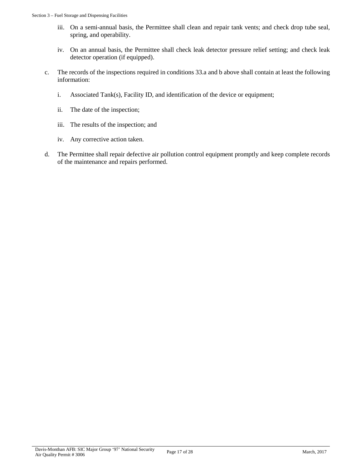- iii. On a semi-annual basis, the Permittee shall clean and repair tank vents; and check drop tube seal, spring, and operability.
- iv. On an annual basis, the Permittee shall check leak detector pressure relief setting; and check leak detector operation (if equipped).
- c. The records of the inspections required in conditions 33.a and b above shall contain at least the following information:
	- i. Associated Tank(s), Facility ID, and identification of the device or equipment;
	- ii. The date of the inspection;
	- iii. The results of the inspection; and
	- iv. Any corrective action taken.
- d. The Permittee shall repair defective air pollution control equipment promptly and keep complete records of the maintenance and repairs performed.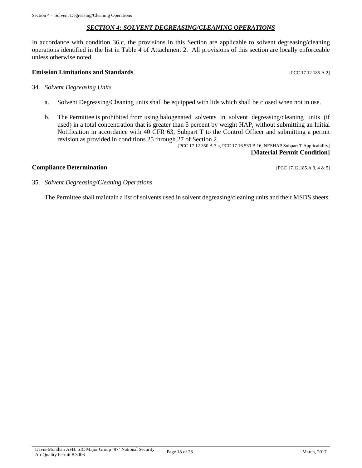#### *SECTION 4: SOLVENT DEGREASING/CLEANING OPERATIONS*

<span id="page-17-0"></span>In accordance with condition 36.c, the provisions in this Section are applicable to solvent degreasing/cleaning operations identified in the list in Table 4 of Attachment 2. All provisions of this section are locally enforceable unless otherwise noted.

#### **Emission Limitations and Standards Emission Limitations and Standards Exercíse 20 Exercíse 20 Exercíse 20 EXERC**

#### 34. *Solvent Degreasing Units*

- a. Solvent Degreasing/Cleaning units shall be equipped with lids which shall be closed when not in use.
- b. The Permittee is prohibited from using halogenated solvents in solvent degreasing/cleaning units (if used) in a total concentration that is greater than 5 percent by weight HAP, without submitting an Initial Notification in accordance with 40 CFR 63, Subpart T to the Control Officer and submitting a permit revision as provided in conditions 25 through 27 of Section 2.

[PCC 17.12.350.A.3.a, PCC 17.16.530.B.16, NESHAP Subpart T Applicability] **[Material Permit Condition]**

#### **Compliance Determination** [PCC 17.12.185.A.3, 4 & 5]

35. *Solvent Degreasing/Cleaning Operations*

The Permittee shall maintain a list of solvents used in solvent degreasing/cleaning units and their MSDS sheets.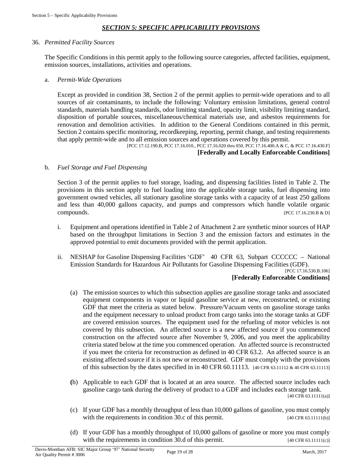### *SECTION 5: SPECIFIC APPLICABILITY PROVISIONS*

#### <span id="page-18-0"></span>36. *Permitted Facility Sources*

The Specific Conditions in this permit apply to the following source categories, affected facilities, equipment, emission sources, installations, activities and operations.

#### a. *Permit-Wide Operations*

Except as provided in condition 38, Section 2 of the permit applies to permit-wide operations and to all sources of air contaminants, to include the following: Voluntary emission limitations, general control standards, materials handling standards, odor limiting standard, opacity limit, visibility limiting standard, disposition of portable sources, miscellaneous/chemical materials use, and asbestos requirements for renovation and demolition activities. In addition to the General Conditions contained in this permit, Section 2 contains specific monitoring, recordkeeping, reporting, permit change, and testing requirements that apply permit-wide and to all emission sources and operations covered by this permit.

[PCC 17.12.190.B, PCC 17.16.010., PCC 17.16.020 thru 050, PCC 17.16.400.A & C, & PCC 17.16.430.F] **[Federally and Locally Enforceable Conditions]**

#### b. *Fuel Storage and Fuel Dispensing*

Section 3 of the permit applies to fuel storage, loading, and dispensing facilities listed in Table 2. The provisions in this section apply to fuel loading into the applicable storage tanks, fuel dispensing into government owned vehicles, all stationary gasoline storage tanks with a capacity of at least 250 gallons and less than 40,000 gallons capacity, and pumps and compressors which handle volatile organic compounds. [PCC 17.16.230.B & D]

- i. Equipment and operations identified in Table 2 of Attachment 2 are synthetic minor sources of HAP based on the throughput limitations in Section 3 and the emission factors and estimates in the approved potential to emit documents provided with the permit application.
- ii. NESHAP for Gasoline Dispensing Facilities 'GDF' 40 CFR 63, Subpart CCCCCC National Emission Standards for Hazardous Air Pollutants for Gasoline Dispensing Facilities (GDF).

#### [PCC 17.16.530.B.106] **[Federally Enforceable Conditions]**

- (a) The emission sources to which this subsection applies are gasoline storage tanks and associated equipment components in vapor or liquid gasoline service at new, reconstructed, or existing GDF that meet the criteria as stated below. Pressure/Vacuum vents on gasoline storage tanks and the equipment necessary to unload product from cargo tanks into the storage tanks at GDF are covered emission sources. The equipment used for the refueling of motor vehicles is not covered by this subsection. An affected source is a new affected source if you commenced construction on the affected source after November 9, 2006, and you meet the applicability criteria stated below at the time you commenced operation. An affected source is reconstructed if you meet the criteria for reconstruction as defined in 40 CFR 63.2. An affected source is an existing affected source if it is not new or reconstructed. GDF must comply with the provisions of this subsection by the dates specified in in 40 CFR 60.11113. [40 CFR 63.11112 & 40 CFR 63.11113]
- **(**b) Applicable to each GDF that is located at an area source. The affected source includes each gasoline cargo tank during the delivery of product to a GDF and includes each storage tank.

[40 CFR 63.11111(a)]

- (c) If your GDF has a monthly throughput of less than 10,000 gallons of gasoline, you must comply with the requirements in condition 30.c of this permit. [40 CFR 63.11111(b)]
- (d) If your GDF has a monthly throughput of 10,000 gallons of gasoline or more you must comply with the requirements in condition 30.d of this permit.  $[40 \text{ CFR } 63.11111(c)]$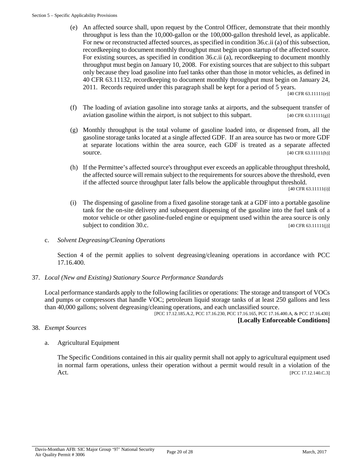(e) An affected source shall, upon request by the Control Officer, demonstrate that their monthly throughput is less than the 10,000-gallon or the 100,000-gallon threshold level, as applicable. For new or reconstructed affected sources, as specified in condition 36.c.ii (a) of this subsection, recordkeeping to document monthly throughput must begin upon startup of the affected source. For existing sources, as specified in condition 36.c.ii (a), recordkeeping to document monthly throughput must begin on January 10, 2008. For existing sources that are subject to this subpart only because they load gasoline into fuel tanks other than those in motor vehicles, as defined in 40 CFR 63.11132, recordkeeping to document monthly throughput must begin on January 24, 2011. Records required under this paragraph shall be kept for a period of 5 years.

[40 CFR 63.11111(e)]

- (f) The loading of aviation gasoline into storage tanks at airports, and the subsequent transfer of aviation gasoline within the airport, is not subject to this subpart.  $[40 \text{ CFR } 63.11111(g)]$
- (g) Monthly throughput is the total volume of gasoline loaded into, or dispensed from, all the gasoline storage tanks located at a single affected GDF. If an area source has two or more GDF at separate locations within the area source, each GDF is treated as a separate affected source. [40 CFR 63.11111(h)]
- (h) If the Permittee's affected source's throughput ever exceeds an applicable throughput threshold, the affected source will remain subject to the requirements for sources above the threshold, even if the affected source throughput later falls below the applicable throughput threshold.

[40 CFR 63.11111(i)]

- (i) The dispensing of gasoline from a fixed gasoline storage tank at a GDF into a portable gasoline tank for the on-site delivery and subsequent dispensing of the gasoline into the fuel tank of a motor vehicle or other gasoline-fueled engine or equipment used within the area source is only subject to condition  $30.c.$  [40 CFR 63.11111(j)]
- c. *Solvent Degreasing/Cleaning Operations*

Section 4 of the permit applies to solvent degreasing/cleaning operations in accordance with PCC 17.16.400.

37. *Local (New and Existing) Stationary Source Performance Standards*

Local performance standards apply to the following facilities or operations: The storage and transport of VOCs and pumps or compressors that handle VOC; petroleum liquid storage tanks of at least 250 gallons and less than 40,000 gallons; solvent degreasing/cleaning operations, and each unclassified source.

[PCC 17.12.185.A.2, PCC 17.16.230, PCC 17.16.165, PCC 17.16.400.A, & PCC 17.16.430]

**[Locally Enforceable Conditions]**

- 38. *Exempt Sources*
	- a. Agricultural Equipment

The Specific Conditions contained in this air quality permit shall not apply to agricultural equipment used in normal farm operations, unless their operation without a permit would result in a violation of the Act. [PCC 17.12.140.C.3]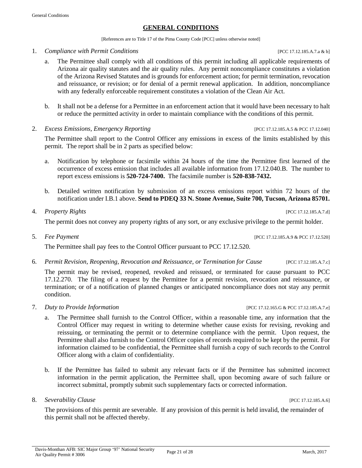# **GENERAL CONDITIONS**

[References are to Title 17 of the Pima County Code [PCC] unless otherwise noted]

<span id="page-20-0"></span>1. *Compliance with Permit Conditions* [PCC 17.12.185.A.7.a & b]

- a. The Permittee shall comply with all conditions of this permit including all applicable requirements of Arizona air quality statutes and the air quality rules. Any permit noncompliance constitutes a violation of the Arizona Revised Statutes and is grounds for enforcement action; for permit termination, revocation and reissuance, or revision; or for denial of a permit renewal application. In addition, noncompliance with any federally enforceable requirement constitutes a violation of the Clean Air Act.
- b. It shall not be a defense for a Permittee in an enforcement action that it would have been necessary to halt or reduce the permitted activity in order to maintain compliance with the conditions of this permit.
- 2. *Excess Emissions, Emergency Reporting* [PCC 17.12.185.A.5 & PCC 17.12.040]

The Permittee shall report to the Control Officer any emissions in excess of the limits established by this permit. The report shall be in 2 parts as specified below:

- a. Notification by telephone or facsimile within 24 hours of the time the Permittee first learned of the occurrence of excess emission that includes all available information from 17.12.040.B. The number to report excess emissions is **520-724-7400.** The facsimile number is **520-838-7432.**
- b. Detailed written notification by submission of an excess emissions report within 72 hours of the notification under I.B.1 above. **Send to PDEQ 33 N. Stone Avenue, Suite 700, Tucson, Arizona 85701.**

# 4. *Property Rights* [PCC 17.12.185.A.7.d]

The permit does not convey any property rights of any sort, or any exclusive privilege to the permit holder.

The Permittee shall pay fees to the Control Officer pursuant to PCC 17.12.520.

6. *Permit Revision, Reopening, Revocation and Reissuance, or Termination for Cause* [PCC 17.12.185.A.7.c]

The permit may be revised, reopened, revoked and reissued, or terminated for cause pursuant to PCC 17.12.270. The filing of a request by the Permittee for a permit revision, revocation and reissuance, or termination; or of a notification of planned changes or anticipated noncompliance does not stay any permit condition.

- 7. *Duty to Provide Information* [PCC 17.12.165.G & PCC 17.12.185.A.7.e]
	- a. The Permittee shall furnish to the Control Officer, within a reasonable time, any information that the Control Officer may request in writing to determine whether cause exists for revising, revoking and reissuing, or terminating the permit or to determine compliance with the permit. Upon request, the Permittee shall also furnish to the Control Officer copies of records required to be kept by the permit. For information claimed to be confidential, the Permittee shall furnish a copy of such records to the Control Officer along with a claim of confidentiality.
	- b. If the Permittee has failed to submit any relevant facts or if the Permittee has submitted incorrect information in the permit application, the Permittee shall, upon becoming aware of such failure or incorrect submittal, promptly submit such supplementary facts or corrected information.
- 8. *Severability Clause* [PCC 17.12.185.A.6]

The provisions of this permit are severable. If any provision of this permit is held invalid, the remainder of this permit shall not be affected thereby.

5. *Fee Payment* [PCC 17.12.185.A.9 & PCC 17.12.520]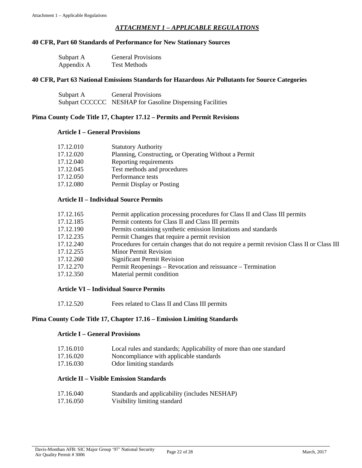#### *ATTACHMENT 1 – APPLICABLE REGULATIONS*

#### <span id="page-21-0"></span>**40 CFR, Part 60 Standards of Performance for New Stationary Sources**

| Subpart A  | <b>General Provisions</b> |
|------------|---------------------------|
| Appendix A | <b>Test Methods</b>       |

#### **40 CFR, Part 63 National Emissions Standards for Hazardous Air Pollutants for Source Categories**

| Subpart A | <b>General Provisions</b>                                |
|-----------|----------------------------------------------------------|
|           | Subpart CCCCCC NESHAP for Gasoline Dispensing Facilities |

#### **Pima County Code Title 17, Chapter 17.12 – Permits and Permit Revisions**

#### **Article I – General Provisions**

| 17.12.010 | <b>Statutory Authority</b>                            |
|-----------|-------------------------------------------------------|
| 17.12.020 | Planning, Constructing, or Operating Without a Permit |
| 17.12.040 | Reporting requirements                                |
| 17.12.045 | Test methods and procedures                           |
| 17.12.050 | Performance tests                                     |
| 17.12.080 | Permit Display or Posting                             |

#### **Article II – Individual Source Permits**

| 17.12.165 | Permit application processing procedures for Class II and Class III permits                |
|-----------|--------------------------------------------------------------------------------------------|
| 17.12.185 | Permit contents for Class II and Class III permits                                         |
| 17.12.190 | Permits containing synthetic emission limitations and standards                            |
| 17.12.235 | Permit Changes that require a permit revision                                              |
| 17.12.240 | Procedures for certain changes that do not require a permit revision Class II or Class III |
| 17.12.255 | <b>Minor Permit Revision</b>                                                               |
| 17.12.260 | <b>Significant Permit Revision</b>                                                         |
| 17.12.270 | Permit Reopenings – Revocation and reissuance – Termination                                |
| 17.12.350 | Material permit condition                                                                  |

#### **Article VI – Individual Source Permits**

17.12.520 Fees related to Class II and Class III permits

#### **Pima County Code Title 17, Chapter 17.16 – Emission Limiting Standards**

#### **Article I – General Provisions**

| 17.16.010 |  |  |  | Local rules and standards; Applicability of more than one standard |
|-----------|--|--|--|--------------------------------------------------------------------|
| 17.1200   |  |  |  |                                                                    |

- 17.16.020 Noncompliance with applicable standards
- 17.16.030 Odor limiting standards

## **Article II – Visible Emission Standards**

17.16.040 Standards and applicability (includes NESHAP) 17.16.050 Visibility limiting standard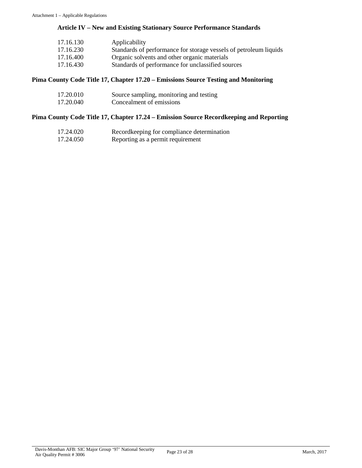# **Article IV – New and Existing Stationary Source Performance Standards**

| 17.16.130 | Applicability                                                     |
|-----------|-------------------------------------------------------------------|
| 17.16.230 | Standards of performance for storage vessels of petroleum liquids |
| 17.16.400 | Organic solvents and other organic materials                      |
| 17.16.430 | Standards of performance for unclassified sources                 |

#### **Pima County Code Title 17, Chapter 17.20 – Emissions Source Testing and Monitoring**

| 17.20.010 | Source sampling, monitoring and testing |
|-----------|-----------------------------------------|
| 17.20.040 | Concealment of emissions                |

### **Pima County Code Title 17, Chapter 17.24 – Emission Source Recordkeeping and Reporting**

| 17.24.020 | Record keeping for compliance determination |
|-----------|---------------------------------------------|
| 17.24.050 | Reporting as a permit requirement           |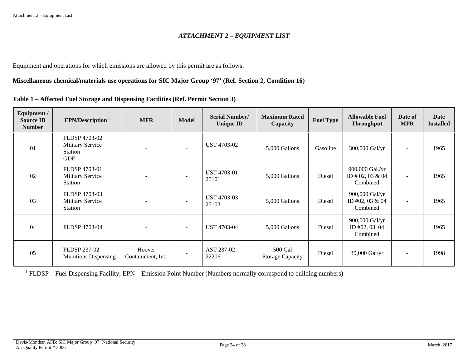#### *ATTACHMENT 2 – EQUIPMENT LIST*

Equipment and operations for which emissions are allowed by this permit are as follows:

#### **Miscellaneous chemical/materials use operations for SIC Major Group '97' (Ref. Section 2, Condition 16)**

|  |  |  |  |  |  | Table 1 – Affected Fuel Storage and Dispensing Facilities (Ref. Permit Section 3) |
|--|--|--|--|--|--|-----------------------------------------------------------------------------------|
|--|--|--|--|--|--|-----------------------------------------------------------------------------------|

<span id="page-23-0"></span>

| Equipment /<br><b>Source ID</b><br><b>Number</b> | EPN/Description <sup>1</sup>                                             | <b>MFR</b>                  | <b>Model</b>             | <b>Serial Number/</b><br><b>Unique ID</b> | <b>Maximum Rated</b><br>Capacity   | <b>Fuel Type</b> | <b>Allowable Fuel</b><br><b>Throughput</b>      | Date of<br><b>MFR</b>    | Date<br><b>Installed</b> |
|--------------------------------------------------|--------------------------------------------------------------------------|-----------------------------|--------------------------|-------------------------------------------|------------------------------------|------------------|-------------------------------------------------|--------------------------|--------------------------|
| 01                                               | FLDSP 4703-02<br><b>Military Service</b><br><b>Station</b><br><b>GDF</b> |                             | $\overline{\phantom{a}}$ | UST 4703-02                               | 5,000 Gallons                      | Gasoline         | 300,000 Gal/yr                                  | $\overline{\phantom{a}}$ | 1965                     |
| 02                                               | <b>FLDSP 4703-01</b><br><b>Military Service</b><br>Station               |                             | $\overline{\phantom{a}}$ | <b>UST 4703-01</b><br>25101               | 5,000 Gallons                      | Diesel           | 900,000 Gal./yr<br>ID # 02, 03 & 04<br>Combined | $\overline{a}$           | 1965                     |
| 03                                               | FLDSP 4703-03<br><b>Military Service</b><br>Station                      |                             | $\overline{\phantom{a}}$ | <b>UST 4703-03</b><br>25103               | 5,000 Gallons                      | Diesel           | 900,000 Gal/yr<br>ID #02, 03 & 04<br>Combined   |                          | 1965                     |
| 04                                               | FLDSP 4703-04                                                            | $\overline{\phantom{a}}$    | $\sim$                   | <b>UST 4703-04</b>                        | 5,000 Gallons                      | Diesel           | 900,000 Gal/yr<br>ID #02, 03, 04<br>Combined    |                          | 1965                     |
| 05                                               | <b>FLDSP 237-02</b><br><b>Munitions Dispensing</b>                       | Hoover<br>Containment, Inc. | $\sim$                   | AST 237-02<br>22206                       | 500 Gal<br><b>Storage Capacity</b> | Diesel           | 30,000 Gal/yr                                   |                          | 1998                     |

<sup>1</sup> FLDSP – Fuel Dispensing Facility; EPN – Emission Point Number (Numbers normally correspond to building numbers)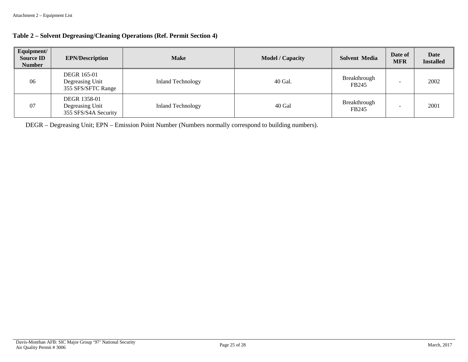| Equipment/<br><b>Source ID</b><br><b>Number</b> | <b>EPN/Description</b>                                      | <b>Make</b>              | <b>Model / Capacity</b> | <b>Solvent Media</b>  | Date of<br><b>MFR</b> | <b>Date</b><br><b>Installed</b> |
|-------------------------------------------------|-------------------------------------------------------------|--------------------------|-------------------------|-----------------------|-----------------------|---------------------------------|
| 06                                              | <b>DEGR 165-01</b><br>Degreasing Unit<br>355 SFS/SFTC Range | <b>Inland Technology</b> | 40 Gal.                 | Breakthrough<br>FB245 |                       | 2002                            |
| 07                                              | DEGR 1358-01<br>Degreasing Unit<br>355 SFS/S4A Security     | <b>Inland Technology</b> | 40 Gal                  | Breakthrough<br>FB245 |                       | 2001                            |

DEGR – Degreasing Unit; EPN – Emission Point Number (Numbers normally correspond to building numbers).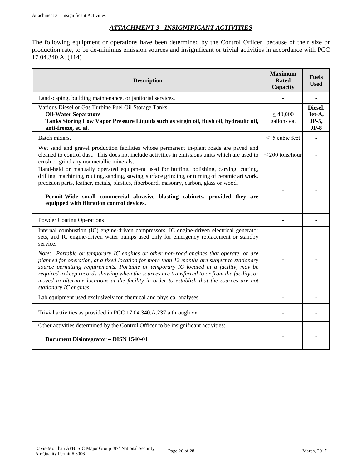# *ATTACHMENT 3 - INSIGNIFICANT ACTIVITIES*

<span id="page-25-0"></span>The following equipment or operations have been determined by the Control Officer, because of their size or production rate, to be de-minimus emission sources and insignificant or trivial activities in accordance with PCC 17.04.340.A. (114)

| <b>Description</b>                                                                                                                                                                                                                                                                                                                                                                                                                                                                                                                                                                                                                                                                | <b>Maximum</b><br><b>Rated</b><br>Capacity | <b>Fuels</b><br><b>Used</b>          |
|-----------------------------------------------------------------------------------------------------------------------------------------------------------------------------------------------------------------------------------------------------------------------------------------------------------------------------------------------------------------------------------------------------------------------------------------------------------------------------------------------------------------------------------------------------------------------------------------------------------------------------------------------------------------------------------|--------------------------------------------|--------------------------------------|
| Landscaping, building maintenance, or janitorial services.                                                                                                                                                                                                                                                                                                                                                                                                                                                                                                                                                                                                                        |                                            |                                      |
| Various Diesel or Gas Turbine Fuel Oil Storage Tanks.<br><b>Oil-Water Separators</b><br>Tanks Storing Low Vapor Pressure Liquids such as virgin oil, flush oil, hydraulic oil,<br>anti-freeze, et. al.                                                                                                                                                                                                                                                                                                                                                                                                                                                                            | $\leq 40,000$<br>gallons ea.               | Diesel,<br>Jet-A,<br>JP-5,<br>$JP-8$ |
| Batch mixers.                                                                                                                                                                                                                                                                                                                                                                                                                                                                                                                                                                                                                                                                     | $\leq$ 5 cubic feet                        |                                      |
| Wet sand and gravel production facilities whose permanent in-plant roads are paved and<br>cleaned to control dust. This does not include activities in emissions units which are used to<br>crush or grind any nonmetallic minerals.                                                                                                                                                                                                                                                                                                                                                                                                                                              | $\leq$ 200 tons/hour                       |                                      |
| Hand-held or manually operated equipment used for buffing, polishing, carving, cutting,<br>drilling, machining, routing, sanding, sawing, surface grinding, or turning of ceramic art work,<br>precision parts, leather, metals, plastics, fiberboard, masonry, carbon, glass or wood.<br>Permit-Wide small commercial abrasive blasting cabinets, provided they are<br>equipped with filtration control devices.                                                                                                                                                                                                                                                                 |                                            |                                      |
| <b>Powder Coating Operations</b>                                                                                                                                                                                                                                                                                                                                                                                                                                                                                                                                                                                                                                                  |                                            |                                      |
| Internal combustion (IC) engine-driven compressors, IC engine-driven electrical generator<br>sets, and IC engine-driven water pumps used only for emergency replacement or standby<br>service.<br>Note: Portable or temporary IC engines or other non-road engines that operate, or are<br>planned for operation, at a fixed location for more than 12 months are subject to stationary<br>source permitting requirements. Portable or temporary IC located at a facility, may be<br>required to keep records showing when the sources are transferred to or from the facility, or<br>moved to alternate locations at the facility in order to establish that the sources are not |                                            |                                      |
| stationary IC engines.                                                                                                                                                                                                                                                                                                                                                                                                                                                                                                                                                                                                                                                            |                                            |                                      |
| Lab equipment used exclusively for chemical and physical analyses.                                                                                                                                                                                                                                                                                                                                                                                                                                                                                                                                                                                                                |                                            |                                      |
| Trivial activities as provided in PCC 17.04.340.A.237 a through xx.                                                                                                                                                                                                                                                                                                                                                                                                                                                                                                                                                                                                               |                                            |                                      |
| Other activities determined by the Control Officer to be insignificant activities:<br>Document Disintegrator - DISN 1540-01                                                                                                                                                                                                                                                                                                                                                                                                                                                                                                                                                       |                                            |                                      |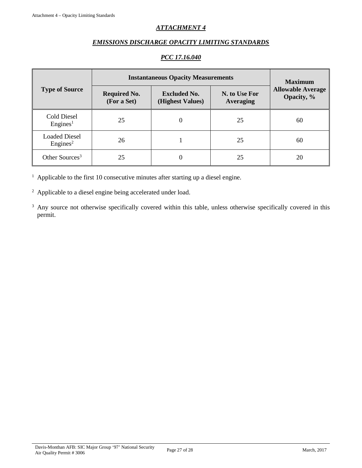# *ATTACHMENT 4*

#### *EMISSIONS DISCHARGE OPACITY LIMITING STANDARDS*

#### *PCC 17.16.040*

<span id="page-26-0"></span>

|                                              | <b>Instantaneous Opacity Measurements</b> | <b>Maximum</b>                          |                                   |                                        |  |
|----------------------------------------------|-------------------------------------------|-----------------------------------------|-----------------------------------|----------------------------------------|--|
| <b>Type of Source</b>                        | <b>Required No.</b><br>(For a Set)        | <b>Excluded No.</b><br>(Highest Values) | N. to Use For<br><b>Averaging</b> | <b>Allowable Average</b><br>Opacity, % |  |
| Cold Diesel<br>Engines <sup>1</sup>          | 25                                        | $\theta$                                | 25                                | 60                                     |  |
| <b>Loaded Diesel</b><br>Engines <sup>2</sup> | 26                                        |                                         | 25                                | 60                                     |  |
| Other Sources <sup>3</sup>                   | 25                                        |                                         | 25                                | 20                                     |  |

 $1$  Applicable to the first 10 consecutive minutes after starting up a diesel engine.

<sup>2</sup> Applicable to a diesel engine being accelerated under load.

<sup>3</sup> Any source not otherwise specifically covered within this table, unless otherwise specifically covered in this permit.